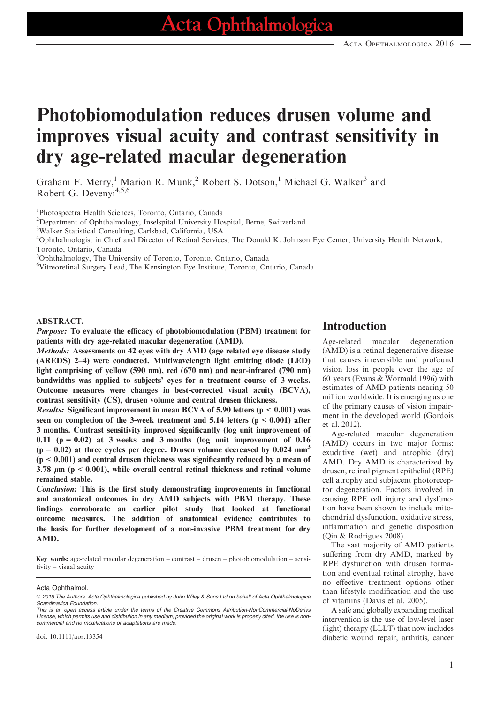# Photobiomodulation reduces drusen volume and improves visual acuity and contrast sensitivity in dry age-related macular degeneration

Graham F. Merry,<sup>1</sup> Marion R. Munk,<sup>2</sup> Robert S. Dotson,<sup>1</sup> Michael G. Walker<sup>3</sup> and Robert G. Devenyi<sup>4,5,6</sup>

1 Photospectra Health Sciences, Toronto, Ontario, Canada

2 Department of Ophthalmology, Inselspital University Hospital, Berne, Switzerland

3 Walker Statistical Consulting, Carlsbad, California, USA

4 Ophthalmologist in Chief and Director of Retinal Services, The Donald K. Johnson Eye Center, University Health Network, Toronto, Ontario, Canada

5 Ophthalmology, The University of Toronto, Toronto, Ontario, Canada

6 Vitreoretinal Surgery Lead, The Kensington Eye Institute, Toronto, Ontario, Canada

#### ABSTRACT.

Purpose: To evaluate the efficacy of photobiomodulation (PBM) treatment for patients with dry age-related macular degeneration (AMD).

Methods: Assessments on 42 eyes with dry AMD (age related eye disease study (AREDS) 2–4) were conducted. Multiwavelength light emitting diode (LED) light comprising of yellow (590 nm), red (670 nm) and near-infrared (790 nm) bandwidths was applied to subjects' eyes for a treatment course of 3 weeks. Outcome measures were changes in best-corrected visual acuity (BCVA), contrast sensitivity (CS), drusen volume and central drusen thickness.

*Results:* Significant improvement in mean BCVA of 5.90 letters ( $p < 0.001$ ) was seen on completion of the 3-week treatment and 5.14 letters (p < 0.001) after 3 months. Contrast sensitivity improved significantly (log unit improvement of 0.11 ( $p = 0.02$ ) at 3 weeks and 3 months (log unit improvement of 0.16  $(p = 0.02)$  at three cycles per degree. Drusen volume decreased by 0.024 mm<sup>3</sup>  $(p < 0.001)$  and central drusen thickness was significantly reduced by a mean of 3.78  $\mu$ m (p < 0.001), while overall central retinal thickness and retinal volume remained stable.

Conclusion: This is the first study demonstrating improvements in functional and anatomical outcomes in dry AMD subjects with PBM therapy. These findings corroborate an earlier pilot study that looked at functional outcome measures. The addition of anatomical evidence contributes to the basis for further development of a non-invasive PBM treatment for dry AMD.

Key words: age-related macular degeneration – contrast – drusen – photobiomodulation – sensitivity – visual acuity

#### Acta Ophthalmol.

### Introduction

Age-related macular degeneration (AMD) is a retinal degenerative disease that causes irreversible and profound vision loss in people over the age of 60 years (Evans & Wormald 1996) with estimates of AMD patients nearing 50 million worldwide. It is emerging as one of the primary causes of vision impairment in the developed world (Gordois et al. 2012).

Age-related macular degeneration (AMD) occurs in two major forms: exudative (wet) and atrophic (dry) AMD. Dry AMD is characterized by drusen, retinal pigment epithelial (RPE) cell atrophy and subjacent photoreceptor degeneration. Factors involved in causing RPE cell injury and dysfunction have been shown to include mitochondrial dysfunction, oxidative stress, inflammation and genetic disposition (Qin & Rodrigues 2008).

The vast majority of AMD patients suffering from dry AMD, marked by RPE dysfunction with drusen formation and eventual retinal atrophy, have no effective treatment options other than lifestyle modification and the use of vitamins (Davis et al. 2005).

A safe and globally expanding medical intervention is the use of low-level laser (light) therapy (LLLT) that now includes diabetic wound repair, arthritis, cancer

1

<sup>© 2016</sup> The Authors. Acta Ophthalmologica published by John Wiley & Sons Ltd on behalf of Acta Ophthalmologica Scandinavica Foundation.

This is an open access article under the terms of the [Creative Commons Attribution-NonCommercial-NoDerivs](http://creativecommons.org/licenses/by-nc-nd/4.0/) License, which permits use and distribution in any medium, provided the original work is properly cited, the use is noncommercial and no modifications or adaptations are made.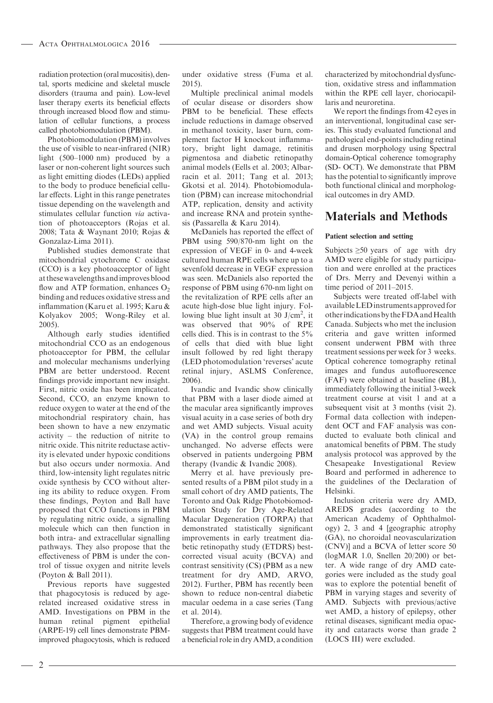radiation protection (oral mucositis), dental, sports medicine and skeletal muscle disorders (trauma and pain). Low-level laser therapy exerts its beneficial effects through increased blood flow and stimulation of cellular functions, a process called photobiomodulation (PBM).

Photobiomodulation (PBM) involves the use of visible to near-infrared (NIR) light (500–1000 nm) produced by a laser or non-coherent light sources such as light emitting diodes (LEDs) applied to the body to produce beneficial cellular effects. Light in this range penetrates tissue depending on the wavelength and stimulates cellular function via activation of photoacceptors (Rojas et al. 2008; Tata & Waynant 2010; Rojas & Gonzalaz-Lima 2011).

Published studies demonstrate that mitochondrial cytochrome C oxidase (CCO) is a key photoacceptor of light at these wavelengths andimproves blood flow and ATP formation, enhances  $O<sub>2</sub>$ binding and reduces oxidative stress and inflammation (Karu et al. 1995; Karu & Kolyakov 2005; Wong-Riley et al. 2005).

Although early studies identified mitochondrial CCO as an endogenous photoacceptor for PBM, the cellular and molecular mechanisms underlying PBM are better understood. Recent findings provide important new insight. First, nitric oxide has been implicated. Second, CCO, an enzyme known to reduce oxygen to water at the end of the mitochondrial respiratory chain, has been shown to have a new enzymatic activity – the reduction of nitrite to nitric oxide. This nitrite reductase activity is elevated under hypoxic conditions but also occurs under normoxia. And third, low-intensity light regulates nitric oxide synthesis by CCO without altering its ability to reduce oxygen. From these findings, Poyton and Ball have proposed that CCO functions in PBM by regulating nitric oxide, a signalling molecule which can then function in both intra- and extracellular signalling pathways. They also propose that the effectiveness of PBM is under the control of tissue oxygen and nitrite levels (Poyton & Ball 2011).

Previous reports have suggested that phagocytosis is reduced by agerelated increased oxidative stress in AMD. Investigations on PBM in the human retinal pigment epithelial (ARPE-19) cell lines demonstrate PBMimproved phagocytosis, which is reduced under oxidative stress (Fuma et al. 2015).

Multiple preclinical animal models of ocular disease or disorders show PBM to be beneficial. These effects include reductions in damage observed in methanol toxicity, laser burn, complement factor H knockout inflammatory, bright light damage, retinitis pigmentosa and diabetic retinopathy animal models (Eells et al. 2003; Albarracin et al. 2011; Tang et al. 2013; Gkotsi et al. 2014). Photobiomodulation (PBM) can increase mitochondrial ATP, replication, density and activity and increase RNA and protein synthesis (Passarella & Karu 2014).

McDaniels has reported the effect of PBM using 590/870-nm light on the expression of VEGF in 0- and 4-week cultured human RPE cells where up to a sevenfold decrease in VEGF expression was seen. McDaniels also reported the response of PBM using 670-nm light on the revitalization of RPE cells after an acute high-dose blue light injury. Following blue light insult at 30 J/cm<sup>2</sup>, it was observed that 90% of RPE cells died. This is in contrast to the 5% of cells that died with blue light insult followed by red light therapy (LED photomodulation 'reverses' acute retinal injury, ASLMS Conference, 2006).

Ivandic and Ivandic show clinically that PBM with a laser diode aimed at the macular area significantly improves visual acuity in a case series of both dry and wet AMD subjects. Visual acuity (VA) in the control group remains unchanged. No adverse effects were observed in patients undergoing PBM therapy (Ivandic & Ivandic 2008).

Merry et al. have previously presented results of a PBM pilot study in a small cohort of dry AMD patients, The Toronto and Oak Ridge Photobiomodulation Study for Dry Age-Related Macular Degeneration (TORPA) that demonstrated statistically significant improvements in early treatment diabetic retinopathy study (ETDRS) bestcorrected visual acuity (BCVA) and contrast sensitivity (CS) (PBM as a new treatment for dry AMD, ARVO, 2012). Further, PBM has recently been shown to reduce non-central diabetic macular oedema in a case series (Tang et al. 2014).

Therefore, a growing body of evidence suggests that PBM treatment could have a beneficial role in dry AMD, a condition characterized by mitochondrial dysfunction, oxidative stress and inflammation within the RPE cell layer, choriocapillaris and neuroretina.

We report the findings from 42 eyes in an interventional, longitudinal case series. This study evaluated functional and pathological end-points including retinal and drusen morphology using Spectral domain-Optical coherence tomography (SD- OCT). We demonstrate that PBM has the potential to significantly improve both functional clinical and morphological outcomes in dry AMD.

## Materials and Methods

#### Patient selection and setting

Subjects  $\geq 50$  years of age with dry AMD were eligible for study participation and were enrolled at the practices of Drs. Merry and Devenyi within a time period of 2011–2015.

Subjects were treated off-label with availableLEDinstruments approved for other indications by the FDA and Health Canada. Subjects who met the inclusion criteria and gave written informed consent underwent PBM with three treatment sessions per week for 3 weeks. Optical coherence tomography retinal images and fundus autofluorescence (FAF) were obtained at baseline (BL), immediately following the initial 3-week treatment course at visit 1 and at a subsequent visit at 3 months (visit 2). Formal data collection with independent OCT and FAF analysis was conducted to evaluate both clinical and anatomical benefits of PBM. The study analysis protocol was approved by the Chesapeake Investigational Review Board and performed in adherence to the guidelines of the Declaration of Helsinki.

Inclusion criteria were dry AMD, AREDS grades (according to the American Academy of Ophthalmology) 2, 3 and 4 [geographic atrophy (GA), no choroidal neovascularization (CNV)] and a BCVA of letter score 50 (logMAR 1.0, Snellen 20/200) or better. A wide range of dry AMD categories were included as the study goal was to explore the potential benefit of PBM in varying stages and severity of AMD. Subjects with previous/active wet AMD, a history of epilepsy, other retinal diseases, significant media opacity and cataracts worse than grade 2 (LOCS III) were excluded.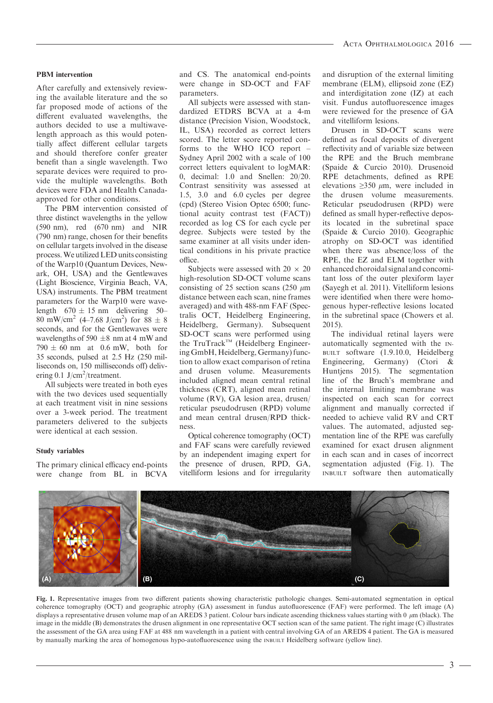#### PBM intervention

After carefully and extensively reviewing the available literature and the so far proposed mode of actions of the different evaluated wavelengths, the authors decided to use a multiwavelength approach as this would potentially affect different cellular targets and should therefore confer greater benefit than a single wavelength. Two separate devices were required to provide the multiple wavelengths. Both devices were FDA and Health Canadaapproved for other conditions.

The PBM intervention consisted of three distinct wavelengths in the yellow (590 nm), red (670 nm) and NIR (790 nm) range, chosen for their benefits on cellular targets involved in the disease process.We utilized LED units consisting of the Warp10 (Quantum Devices, Newark, OH, USA) and the Gentlewaves (Light Bioscience, Virginia Beach, VA, USA) instruments. The PBM treatment parameters for the Warp10 were wavelength  $670 \pm 15$  nm delivering  $50-$ 80 mW/cm<sup>2</sup> (4–7.68 J/cm<sup>2</sup>) for 88  $\pm$  8 seconds, and for the Gentlewaves were wavelengths of 590  $\pm 8$  nm at 4 mW and  $790 \pm 60$  nm at 0.6 mW, both for 35 seconds, pulsed at 2.5 Hz (250 milliseconds on, 150 milliseconds off) delivering 0.1  $J/cm<sup>2</sup>/treatment$ .

All subjects were treated in both eyes with the two devices used sequentially at each treatment visit in nine sessions over a 3-week period. The treatment parameters delivered to the subjects were identical at each session.

#### Study variables

The primary clinical efficacy end-points were change from BL in BCVA

and CS. The anatomical end-points were change in SD-OCT and FAF parameters.

All subjects were assessed with standardized ETDRS BCVA at a 4-m distance (Precision Vision, Woodstock, IL, USA) recorded as correct letters scored. The letter score reported conforms to the WHO ICO report – Sydney April 2002 with a scale of 100 correct letters equivalent to logMAR: 0, decimal: 1.0 and Snellen: 20/20. Contrast sensitivity was assessed at 1.5, 3.0 and 6.0 cycles per degree (cpd) (Stereo Vision Optec 6500; functional acuity contrast test (FACT)) recorded as log CS for each cycle per degree. Subjects were tested by the same examiner at all visits under identical conditions in his private practice office.

Subjects were assessed with  $20 \times 20$ high-resolution SD-OCT volume scans consisting of 25 section scans  $(250 \mu m)$ distance between each scan, nine frames averaged) and with 488-nm FAF (Spectralis OCT, Heidelberg Engineering, Heidelberg, Germany). Subsequent SD-OCT scans were performed using the TruTrack<sup>TM</sup> (Heidelberg Engineering GmbH, Heidelberg, Germany) function to allow exact comparison of retina and drusen volume. Measurements included aligned mean central retinal thickness (CRT), aligned mean retinal volume (RV), GA lesion area, drusen/ reticular pseudodrusen (RPD) volume and mean central drusen/RPD thickness.

Optical coherence tomography (OCT) and FAF scans were carefully reviewed by an independent imaging expert for the presence of drusen, RPD, GA, vitelliform lesions and for irregularity

and disruption of the external limiting membrane (ELM), ellipsoid zone (EZ) and interdigitation zone (IZ) at each visit. Fundus autofluorescence images were reviewed for the presence of GA and vitelliform lesions.

Drusen in SD-OCT scans were defined as focal deposits of divergent reflectivity and of variable size between the RPE and the Bruch membrane (Spaide & Curcio 2010). Drusenoid RPE detachments, defined as RPE elevations  $\geq$ 350  $\mu$ m, were included in the drusen volume measurements. Reticular pseudodrusen (RPD) were defined as small hyper-reflective deposits located in the subretinal space (Spaide & Curcio 2010). Geographic atrophy on SD-OCT was identified when there was absence/loss of the RPE, the EZ and ELM together with enhanced choroidal signal and concomitant loss of the outer plexiform layer (Sayegh et al. 2011). Vitelliform lesions were identified when there were homogenous hyper-reflective lesions located in the subretinal space (Chowers et al. 2015).

The individual retinal layers were automatically segmented with the IN-BUILT software (1.9.10.0, Heidelberg Engineering, Germany) (Ctori & Huntjens 2015). The segmentation line of the Bruch's membrane and the internal limiting membrane was inspected on each scan for correct alignment and manually corrected if needed to achieve valid RV and CRT values. The automated, adjusted segmentation line of the RPE was carefully examined for exact drusen alignment in each scan and in cases of incorrect segmentation adjusted (Fig. 1). The INBUILT software then automatically



Fig. 1. Representative images from two different patients showing characteristic pathologic changes. Semi-automated segmentation in optical coherence tomography (OCT) and geographic atrophy (GA) assessment in fundus autofluorescence (FAF) were performed. The left image (A) displays a representative drusen volume map of an AREDS 3 patient. Colour bars indicate ascending thickness values starting with  $0 \mu$ m (black). The image in the middle (B) demonstrates the drusen alignment in one representative OCT section scan of the same patient. The right image (C) illustrates the assessment of the GA area using FAF at 488 nm wavelength in a patient with central involving GA of an AREDS 4 patient. The GA is measured by manually marking the area of homogenous hypo-autofluorescence using the INBUILT Heidelberg software (yellow line).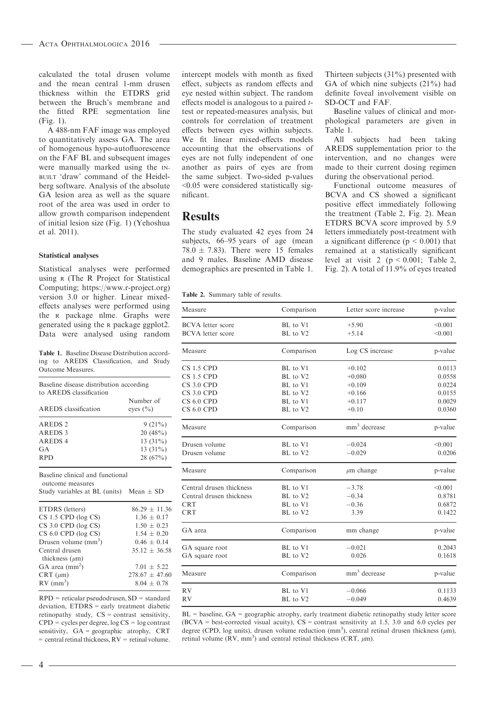calculated the total drusen volume and the mean central 1-mm drusen thickness within the ETDRS grid between the Bruch's membrane and the fitted RPE segmentation line (Fig. 1).

A 488-nm FAF image was employed to quantitatively assess GA. The area of homogenous hypo-autofluorescence on the FAF BL and subsequent images were manually marked using the IN-BUILT 'draw' command of the Heidelberg software. Analysis of the absolute GA lesion area as well as the square root of the area was used in order to allow growth comparison independent of initial lesion size (Fig. 1) (Yehoshua et al. 2011).

#### Statistical analyses

Statistical analyses were performed using <sup>R</sup> (The R Project for Statistical Computing;<https://www.r-project.org>) version 3.0 or higher. Linear mixedeffects analyses were performed using the <sup>R</sup> package nlme. Graphs were generated using the <sup>R</sup> package ggplot2. Data were analysed using random

Table 1. Baseline Disease Distribution according to AREDS Classification, and Study Outcome Measures.

| Baseline disease distribution according<br>to AREDS classification |                           |  |
|--------------------------------------------------------------------|---------------------------|--|
| AREDS classification                                               | Number of<br>eyes $(\% )$ |  |
| AREDS <sub>2</sub>                                                 | $9(21\%)$                 |  |
| AREDS 3                                                            | 20(48%)                   |  |
| AREDS <sub>4</sub>                                                 | 13 $(31\%)$               |  |
| GA                                                                 | 13 $(31\%)$               |  |
| <b>RPD</b>                                                         | 28(67%)                   |  |

Baseline clinical and functional outcome measures Study variables at BL (units) Mean  $\pm$  SD ETDRS (letters)  $86.29 \pm 11.36$ <br>CS 1.5 CPD (log CS)  $1.36 \pm 0.17$ CS 1.5 CPD (log CS)  $1.36 \pm 0.17$ <br>CS 3.0 CPD (log CS)  $1.50 \pm 0.23$ CS 3.0 CPD (log CS)  $1.50 \pm 0.23$ <br>CS 6.0 CPD (log CS)  $1.54 \pm 0.20$  $CS 6.0$  CPD (log  $CS$ ) Drusen volume  $\text{mm}^3$ )  $0.46 + 0.14$ Central drusen thickness  $(\mu m)$  $35.12 \pm 36.58$ GA area  $\text{(mm}^2)$  $7.01 \pm 5.22$ CRT ( $\mu$ m) 278.67  $\pm$  47.60  $RV$  (mm<sup>3</sup>)  $8.04 \pm 0.78$ 

RPD = reticular pseudodrusen, SD = standard deviation, ETDRS = early treatment diabetic retinopathy study,  $CS =$  contrast sensitivity, CPD = cycles per degree, log CS = log contrast sensitivity, GA = geographic atrophy, CRT  $=$  central retinal thickness,  $RV =$  retinal volume.

intercept models with month as fixed effect, subjects as random effects and eye nested within subject. The random effects model is analogous to a paired ttest or repeated-measures analysis, but controls for correlation of treatment effects between eyes within subjects. We fit linear mixed-effects models accounting that the observations of eyes are not fully independent of one another as pairs of eyes are from the same subject. Two-sided p-values <0.05 were considered statistically significant.

### **Results**

The study evaluated 42 eyes from 24 subjects, 66–95 years of age (mean 78.0  $\pm$  7.83). There were 15 females and 9 males. Baseline AMD disease demographics are presented in Table 1. Thirteen subjects (31%) presented with GA of which nine subjects (21%) had definite foveal involvement visible on SD-OCT and FAF.

Baseline values of clinical and morphological parameters are given in Table 1.

All subjects had been taking AREDS supplementation prior to the intervention, and no changes were made to their current dosing regimen during the observational period.

Functional outcome measures of BCVA and CS showed a significant positive effect immediately following the treatment (Table 2, Fig. 2). Mean ETDRS BCVA score improved by 5.9 letters immediately post-treatment with a significant difference ( $p < 0.001$ ) that remained at a statistically significant level at visit 2 ( $p < 0.001$ ; Table 2, Fig. 2). A total of 11.9% of eyes treated

Table 2. Summary table of results.

| Measure                  | Comparison | Letter score increase    | p-value |
|--------------------------|------------|--------------------------|---------|
| <b>BCVA</b> letter score | BL to V1   | $+5.90$                  | < 0.001 |
| <b>BCVA</b> letter score | BL to V2   | $+5.14$                  | < 0.001 |
| Measure                  | Comparison | Log CS increase          | p-value |
| $CS$ 1.5 $CPD$           | BL to V1   | $+0.102$                 | 0.0113  |
| <b>CS 1.5 CPD</b>        | BL to V2   | $+0.080$                 | 0.0558  |
| $CS$ 3.0 $CPD$           | BL to V1   | $+0.109$                 | 0.0224  |
| $CS3.0$ CPD              | BL to V2   | $+0.166$                 | 0.0155  |
| $CS 6.0$ CPD             | BL to V1   | $+0.117$                 | 0.0029  |
| <b>CS 6.0 CPD</b>        | BL to V2   | $+0.10$                  | 0.0360  |
| Measure                  | Comparison | $mm3$ decrease           | p-value |
| Drusen volume            | BL to V1   | $-0.024$                 | < 0.001 |
| Drusen volume            | BL to V2   | $-0.029$                 | 0.0206  |
| Measure                  | Comparison | $\mu$ m change           | p-value |
| Central drusen thickness | BL to V1   | $-3.78$                  | < 0.001 |
| Central drusen thickness | BL to V2   | $-0.34$                  | 0.8781  |
| <b>CRT</b>               | BL to V1   | $-0.36$                  | 0.6872  |
| <b>CRT</b>               | BL to V2   | 3.39                     | 0.1422  |
| GA area                  | Comparison | mm change                | p-value |
| GA square root           | BL to V1   | $-0.021$                 | 0.2043  |
| GA square root           | BL to V2   | 0.026                    | 0.1618  |
| Measure                  | Comparison | mm <sup>3</sup> decrease | p-value |
| RV                       | BL to V1   | $-0.066$                 | 0.1133  |
| RV                       | BL to V2   | $-0.049$                 | 0.4639  |

BL = baseline, GA = geographic atrophy, early treatment diabetic retinopathy study letter score  $(BCVA = best-corrected visual acuity)$ ,  $CS = contrast sensitivity at 1.5, 3.0 and 6.0 cycles per$ degree (CPD, log units), drusen volume reduction (mm<sup>3</sup>), central retinal drusen thickness ( $\mu$ m), retinal volume  $(RV, mm^3)$  and central retinal thickness (CRT,  $\mu$ m).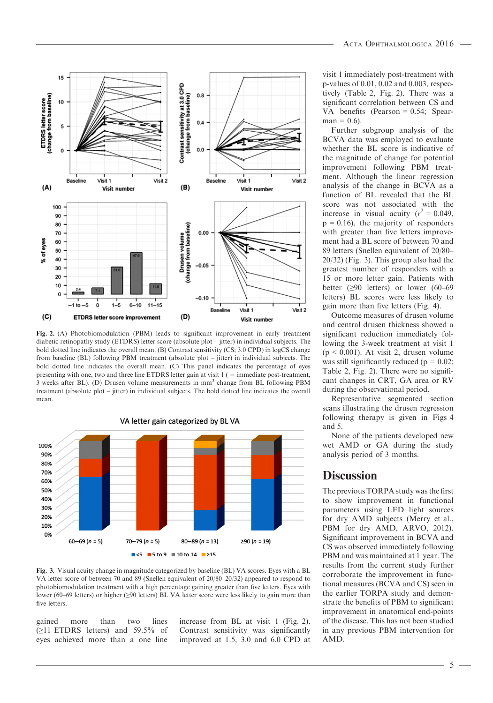

Fig. 2. (A) Photobiomodulation (PBM) leads to significant improvement in early treatment diabetic retinopathy study (ETDRS) letter score (absolute plot – jitter) in individual subjects. The bold dotted line indicates the overall mean. (B) Contrast sensitivity (CS; 3.0 CPD) in logCS change from baseline (BL) following PBM treatment (absolute plot – jitter) in individual subjects. The bold dotted line indicates the overall mean. (C) This panel indicates the percentage of eyes presenting with one, two and three line ETDRS letter gain at visit 1 ( = immediate post-treatment, 3 weeks after BL). (D) Drusen volume measurements in mm3 change from BL following PBM treatment (absolute plot – jitter) in individual subjects. The bold dotted line indicates the overall mean.

VA letter gain categorized by BL VA 100% 90% 80% 70% 60% 50% 40% 30% 20% 10% 0%  $60 - 69 (n = 5)$  $70 - 79 (n = 5)$  $80 - 89 (n = 13)$ ≥90 (n = 19)  $\blacksquare$  <5  $\blacksquare$  5 to 9  $\blacksquare$  10 to 14  $\blacksquare$  ≥15

Fig. 3. Visual acuity change in magnitude categorized by baseline (BL) VA scores. Eyes with a BL VA letter score of between 70 and 89 (Snellen equivalent of 20/80–20/32) appeared to respond to photobiomodulation treatment with a high percentage gaining greater than five letters. Eyes with lower (60–69 letters) or higher (≥90 letters) BL VA letter score were less likely to gain more than five letters.

gained more than two lines (≥11 ETDRS letters) and 59.5% of eyes achieved more than a one line increase from BL at visit 1 (Fig. 2). Contrast sensitivity was significantly improved at 1.5, 3.0 and 6.0 CPD at visit 1 immediately post-treatment with p-values of 0.01, 0.02 and 0.003, respectively (Table 2, Fig. 2). There was a significant correlation between CS and VA benefits (Pearson = 0.54; Spear $man = 0.6$ .

Further subgroup analysis of the BCVA data was employed to evaluate whether the BL score is indicative of the magnitude of change for potential improvement following PBM treatment. Although the linear regression analysis of the change in BCVA as a function of BL revealed that the BL score was not associated with the increase in visual acuity  $(r^2 = 0.049)$ ,  $p = 0.16$ , the majority of responders with greater than five letters improvement had a BL score of between 70 and 89 letters (Snellen equivalent of 20/80– 20/32) (Fig. 3). This group also had the greatest number of responders with a 15 or more letter gain. Patients with better  $(≥90$  letters) or lower  $(60-69)$ letters) BL scores were less likely to gain more than five letters (Fig. 4).

Outcome measures of drusen volume and central drusen thickness showed a significant reduction immediately following the 3-week treatment at visit 1  $(p < 0.001)$ . At visit 2, drusen volume was still significantly reduced ( $p = 0.02$ ; Table 2, Fig. 2). There were no significant changes in CRT, GA area or RV during the observational period.

Representative segmented section scans illustrating the drusen regression following therapy is given in Figs 4 and 5.

None of the patients developed new wet AMD or GA during the study analysis period of 3 months.

### **Discussion**

The previous TORPA study was the first to show improvement in functional parameters using LED light sources for dry AMD subjects (Merry et al., PBM for dry AMD, ARVO, 2012). Significant improvement in BCVA and CS was observed immediately following PBM and was maintained at 1 year. The results from the current study further corroborate the improvement in functional measures (BCVA and CS) seen in the earlier TORPA study and demonstrate the benefits of PBM to significant improvement in anatomical end-points of the disease. This has not been studied in any previous PBM intervention for AMD.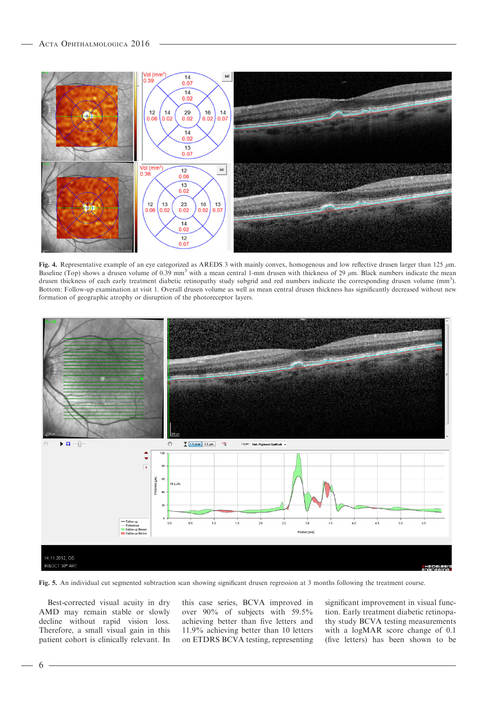

Fig. 4. Representative example of an eye categorized as AREDS 3 with mainly convex, homogenous and low reflective drusen larger than 125  $\mu$ m. Baseline (Top) shows a drusen volume of 0.39 mm<sup>3</sup> with a mean central 1-mm drusen with thickness of 29  $\mu$ m. Black numbers indicate the mean drusen thickness of each early treatment diabetic retinopathy study subgrid and red numbers indicate the corresponding drusen volume (mm<sup>3</sup>). Bottom: Follow-up examination at visit 1. Overall drusen volume as well as mean central drusen thickness has significantly decreased without new formation of geographic atrophy or disruption of the photoreceptor layers.



Fig. 5. An individual cut segmented subtraction scan showing significant drusen regression at 3 months following the treatment course.

Best-corrected visual acuity in dry AMD may remain stable or slowly decline without rapid vision loss. Therefore, a small visual gain in this patient cohort is clinically relevant. In

this case series, BCVA improved in over 90% of subjects with 59.5% achieving better than five letters and 11.9% achieving better than 10 letters on ETDRS BCVA testing, representing significant improvement in visual function. Early treatment diabetic retinopathy study BCVA testing measurements with a logMAR score change of 0.1 (five letters) has been shown to be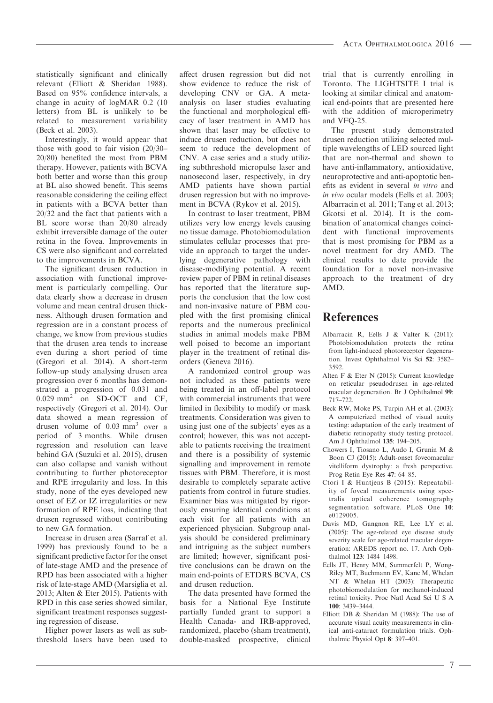statistically significant and clinically relevant (Elliott & Sheridan 1988). Based on 95% confidence intervals, a change in acuity of logMAR 0.2 (10 letters) from BL is unlikely to be related to measurement variability (Beck et al. 2003).

Interestingly, it would appear that those with good to fair vision (20/30– 20/80) benefited the most from PBM therapy. However, patients with BCVA both better and worse than this group at BL also showed benefit. This seems reasonable considering the ceiling effect in patients with a BCVA better than 20/32 and the fact that patients with a BL score worse than 20/80 already exhibit irreversible damage of the outer retina in the fovea. Improvements in CS were also significant and correlated to the improvements in BCVA.

The significant drusen reduction in association with functional improvement is particularly compelling. Our data clearly show a decrease in drusen volume and mean central drusen thickness. Although drusen formation and regression are in a constant process of change, we know from previous studies that the drusen area tends to increase even during a short period of time (Gregori et al. 2014). A short-term follow-up study analysing drusen area progression over 6 months has demonstrated a progression of 0.031 and 0.029 mm<sup>2</sup> on SD-OCT and CF, respectively (Gregori et al. 2014). Our data showed a mean regression of drusen volume of  $0.03$  mm<sup>3</sup> over a period of 3 months. While drusen regression and resolution can leave behind GA (Suzuki et al. 2015), drusen can also collapse and vanish without contributing to further photoreceptor and RPE irregularity and loss. In this study, none of the eyes developed new onset of EZ or IZ irregularities or new formation of RPE loss, indicating that drusen regressed without contributing to new GA formation.

Increase in drusen area (Sarraf et al. 1999) has previously found to be a significant predictive factor for the onset of late-stage AMD and the presence of RPD has been associated with a higher risk of late-stage AMD (Marsiglia et al. 2013; Alten & Eter 2015). Patients with RPD in this case series showed similar, significant treatment responses suggesting regression of disease.

Higher power lasers as well as subthreshold lasers have been used to affect drusen regression but did not show evidence to reduce the risk of developing CNV or GA. A metaanalysis on laser studies evaluating the functional and morphological efficacy of laser treatment in AMD has shown that laser may be effective to induce drusen reduction, but does not seem to reduce the development of CNV. A case series and a study utilizing subthreshold micropulse laser and nanosecond laser, respectively, in dry AMD patients have shown partial drusen regression but with no improvement in BCVA (Rykov et al. 2015).

In contrast to laser treatment, PBM utilizes very low energy levels causing no tissue damage. Photobiomodulation stimulates cellular processes that provide an approach to target the underlying degenerative pathology with disease-modifying potential. A recent review paper of PBM in retinal diseases has reported that the literature supports the conclusion that the low cost and non-invasive nature of PBM coupled with the first promising clinical reports and the numerous preclinical studies in animal models make PBM well poised to become an important player in the treatment of retinal disorders (Geneva 2016).

A randomized control group was not included as these patients were being treated in an off-label protocol with commercial instruments that were limited in flexibility to modify or mask treatments. Consideration was given to using just one of the subjects' eyes as a control; however, this was not acceptable to patients receiving the treatment and there is a possibility of systemic signalling and improvement in remote tissues with PBM. Therefore, it is most desirable to completely separate active patients from control in future studies. Examiner bias was mitigated by rigorously ensuring identical conditions at each visit for all patients with an experienced physician. Subgroup analysis should be considered preliminary and intriguing as the subject numbers are limited; however, significant positive conclusions can be drawn on the main end-points of ETDRS BCVA, CS and drusen reduction.

The data presented have formed the basis for a National Eye Institute partially funded grant to support a Health Canada- and IRB-approved, randomized, placebo (sham treatment), double-masked prospective, clinical trial that is currently enrolling in Toronto. The LIGHTSITE I trial is looking at similar clinical and anatomical end-points that are presented here with the addition of microperimetry and VFQ-25.

The present study demonstrated drusen reduction utilizing selected multiple wavelengths of LED sourced light that are non-thermal and shown to have anti-inflammatory, antioxidative, neuroprotective and anti-apoptotic benefits as evident in several in vitro and in vivo ocular models (Eells et al. 2003; Albarracin et al. 2011; Tang et al. 2013; Gkotsi et al. 2014). It is the combination of anatomical changes coincident with functional improvements that is most promising for PBM as a novel treatment for dry AMD. The clinical results to date provide the foundation for a novel non-invasive approach to the treatment of dry AMD.

### References

- Albarracin R, Eells J & Valter K (2011): Photobiomodulation protects the retina from light-induced photoreceptor degeneration. Invest Ophthalmol Vis Sci 52: 3582– 3592.
- Alten F & Eter N (2015): Current knowledge on reticular pseudodrusen in age-related macular degeneration. Br J Ophthalmol 99: 717–722.
- Beck RW, Moke PS, Turpin AH et al. (2003): A computerized method of visual acuity testing: adaptation of the early treatment of diabetic retinopathy study testing protocol. Am J Ophthalmol 135: 194–205.
- Chowers I, Tiosano L, Audo I, Grunin M & Boon CJ (2015): Adult-onset foveomacular vitelliform dystrophy: a fresh perspective. Prog Retin Eye Res 47: 64–85.
- Ctori I & Huntjens B (2015): Repeatability of foveal measurements using spectralis optical coherence tomography segmentation software. PLoS One 10: e0129005.
- Davis MD, Gangnon RE, Lee LY et al. (2005): The age-related eye disease study severity scale for age-related macular degeneration: AREDS report no. 17. Arch Ophthalmol 123: 1484–1498.
- Eells JT, Henry MM, Summerfelt P, Wong-Riley MT, Buchmann EV, Kane M, Whelan NT & Whelan HT (2003): Therapeutic photobiomodulation for methanol-induced retinal toxicity. Proc Natl Acad Sci U S A 100: 3439–3444.
- Elliott DB & Sheridan M (1988): The use of accurate visual acuity measurements in clinical anti-cataract formulation trials. Ophthalmic Physiol Opt 8: 397–401.

7